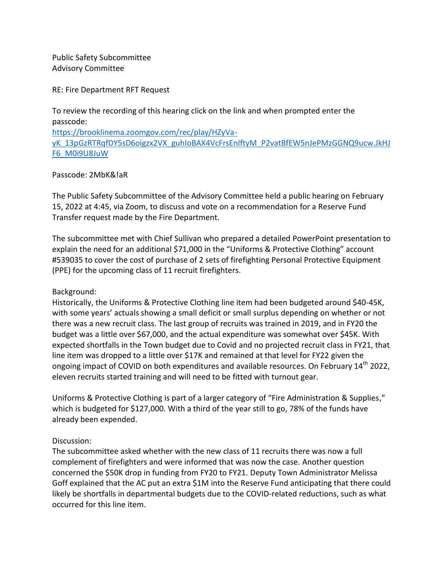Public Safety Subcommittee Advisory Committee

RE: Fire Department RFT Request

To review the recording of this hearing click on the link and when prompted enter the passcode:

[https://brooklinema.zoomgov.com/rec/play/HZyVa-](https://brooklinema.zoomgov.com/rec/play/HZyVa-yK_13pGzRTRqfDY5sD6oigzx2VX_guhIoBAX4VcFrsEnlftyM_P2vatBfEW5nJePMzGGNQ9ucw.JkHJF6_M0i9U8JuW)

[yK\\_13pGzRTRqfDY5sD6oigzx2VX\\_guhIoBAX4VcFrsEnlftyM\\_P2vatBfEW5nJePMzGGNQ9ucw.JkHJ](https://brooklinema.zoomgov.com/rec/play/HZyVa-yK_13pGzRTRqfDY5sD6oigzx2VX_guhIoBAX4VcFrsEnlftyM_P2vatBfEW5nJePMzGGNQ9ucw.JkHJF6_M0i9U8JuW) [F6\\_M0i9U8JuW](https://brooklinema.zoomgov.com/rec/play/HZyVa-yK_13pGzRTRqfDY5sD6oigzx2VX_guhIoBAX4VcFrsEnlftyM_P2vatBfEW5nJePMzGGNQ9ucw.JkHJF6_M0i9U8JuW)

## Passcode: 2MbK&!aR

The Public Safety Subcommittee of the Advisory Committee held a public hearing on February 15, 2022 at 4:45, via Zoom, to discuss and vote on a recommendation for a Reserve Fund Transfer request made by the Fire Department.

The subcommittee met with Chief Sullivan who prepared a detailed PowerPoint presentation to explain the need for an additional \$71,000 in the "Uniforms & Protective Clothing" account #539035 to cover the cost of purchase of 2 sets of firefighting Personal Protective Equipment (PPE) for the upcoming class of 11 recruit firefighters.

## Background:

Historically, the Uniforms & Protective Clothing line item had been budgeted around \$40-45K, with some years' actuals showing a small deficit or small surplus depending on whether or not there was a new recruit class. The last group of recruits was trained in 2019, and in FY20 the budget was a little over \$67,000, and the actual expenditure was somewhat over \$45K. With expected shortfalls in the Town budget due to Covid and no projected recruit class in FY21, that line item was dropped to a little over \$17K and remained at that level for FY22 given the ongoing impact of COVID on both expenditures and available resources. On February 14<sup>th</sup> 2022, eleven recruits started training and will need to be fitted with turnout gear.

Uniforms & Protective Clothing is part of a larger category of "Fire Administration & Supplies," which is budgeted for \$127,000. With a third of the year still to go, 78% of the funds have already been expended.

## Discussion:

The subcommittee asked whether with the new class of 11 recruits there was now a full complement of firefighters and were informed that was now the case. Another question concerned the \$50K drop in funding from FY20 to FY21. Deputy Town Administrator Melissa Goff explained that the AC put an extra \$1M into the Reserve Fund anticipating that there could likely be shortfalls in departmental budgets due to the COVID-related reductions, such as what occurred for this line item.